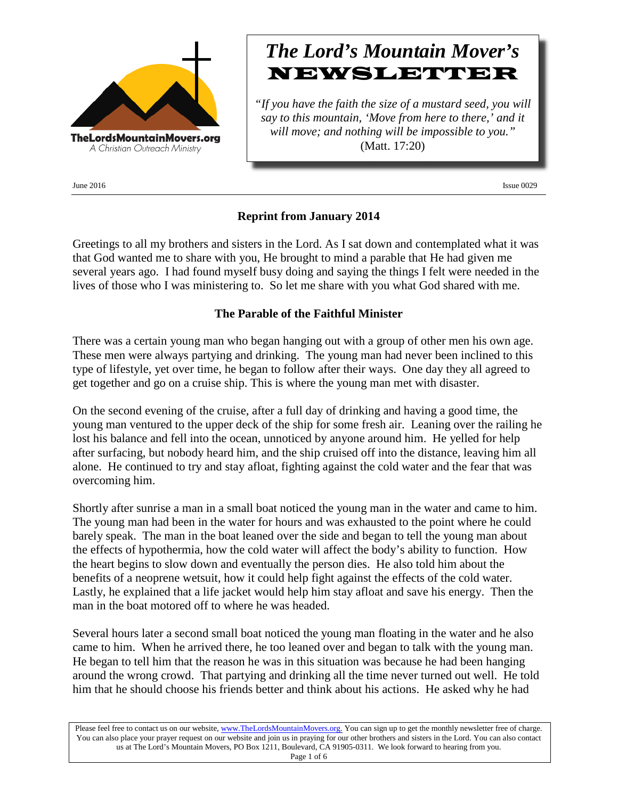

 $\mu$  June 2016 **Issue 0029** 

# *The Lord's Mountain Mover's* NEWSLETTER

*"If you have the faith the size of a mustard seed, you will say to this mountain, 'Move from here to there,' and it will move; and nothing will be impossible to you."* (Matt. 17:20)

### **Reprint from January 2014**

Greetings to all my brothers and sisters in the Lord. As I sat down and contemplated what it was that God wanted me to share with you, He brought to mind a parable that He had given me several years ago. I had found myself busy doing and saying the things I felt were needed in the lives of those who I was ministering to. So let me share with you what God shared with me.

### **The Parable of the Faithful Minister**

There was a certain young man who began hanging out with a group of other men his own age. These men were always partying and drinking. The young man had never been inclined to this type of lifestyle, yet over time, he began to follow after their ways. One day they all agreed to get together and go on a cruise ship. This is where the young man met with disaster.

On the second evening of the cruise, after a full day of drinking and having a good time, the young man ventured to the upper deck of the ship for some fresh air. Leaning over the railing he lost his balance and fell into the ocean, unnoticed by anyone around him. He yelled for help after surfacing, but nobody heard him, and the ship cruised off into the distance, leaving him all alone. He continued to try and stay afloat, fighting against the cold water and the fear that was overcoming him.

Shortly after sunrise a man in a small boat noticed the young man in the water and came to him. The young man had been in the water for hours and was exhausted to the point where he could barely speak. The man in the boat leaned over the side and began to tell the young man about the effects of hypothermia, how the cold water will affect the body's ability to function. How the heart begins to slow down and eventually the person dies. He also told him about the benefits of a neoprene wetsuit, how it could help fight against the effects of the cold water. Lastly, he explained that a life jacket would help him stay afloat and save his energy. Then the man in the boat motored off to where he was headed.

Several hours later a second small boat noticed the young man floating in the water and he also came to him. When he arrived there, he too leaned over and began to talk with the young man. He began to tell him that the reason he was in this situation was because he had been hanging around the wrong crowd. That partying and drinking all the time never turned out well. He told him that he should choose his friends better and think about his actions. He asked why he had

Please feel free to contact us on our website, ww[w.TheLordsMountainMovers.o](http://www.thelordsmountainmovers.org/)rg. You can sign up to get the monthly newsletter free of charge. You can also place your prayer request on our website and join us in praying for our other brothers and sisters in the Lord. You can also contact us at The Lord's Mountain Movers, PO Box 1211, Boulevard, CA 91905-0311. We look forward to hearing from you.

Page 1 of 6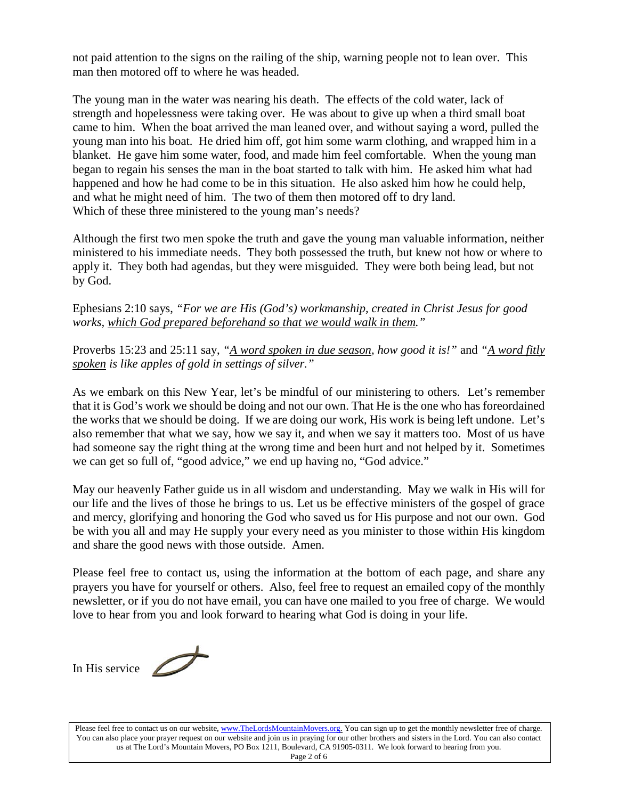not paid attention to the signs on the railing of the ship, warning people not to lean over. This man then motored off to where he was headed.

The young man in the water was nearing his death. The effects of the cold water, lack of strength and hopelessness were taking over. He was about to give up when a third small boat came to him. When the boat arrived the man leaned over, and without saying a word, pulled the young man into his boat. He dried him off, got him some warm clothing, and wrapped him in a blanket. He gave him some water, food, and made him feel comfortable. When the young man began to regain his senses the man in the boat started to talk with him. He asked him what had happened and how he had come to be in this situation. He also asked him how he could help, and what he might need of him. The two of them then motored off to dry land. Which of these three ministered to the young man's needs?

Although the first two men spoke the truth and gave the young man valuable information, neither ministered to his immediate needs. They both possessed the truth, but knew not how or where to apply it. They both had agendas, but they were misguided. They were both being lead, but not by God.

Ephesians 2:10 says, *"For we are His (God's) workmanship, created in Christ Jesus for good works, which God prepared beforehand so that we would walk in them."*

Proverbs 15:23 and 25:11 say, *"A word spoken in due season, how good it is!"* and *"A word fitly spoken is like apples of gold in settings of silver."*

As we embark on this New Year, let's be mindful of our ministering to others. Let's remember that it is God's work we should be doing and not our own. That He is the one who has foreordained the works that we should be doing. If we are doing our work, His work is being left undone. Let's also remember that what we say, how we say it, and when we say it matters too. Most of us have had someone say the right thing at the wrong time and been hurt and not helped by it. Sometimes we can get so full of, "good advice," we end up having no, "God advice."

May our heavenly Father guide us in all wisdom and understanding. May we walk in His will for our life and the lives of those he brings to us. Let us be effective ministers of the gospel of grace and mercy, glorifying and honoring the God who saved us for His purpose and not our own. God be with you all and may He supply your every need as you minister to those within His kingdom and share the good news with those outside. Amen.

Please feel free to contact us, using the information at the bottom of each page, and share any prayers you have for yourself or others. Also, feel free to request an emailed copy of the monthly newsletter, or if you do not have email, you can have one mailed to you free of charge. We would love to hear from you and look forward to hearing what God is doing in your life.

In His service

Please feel free to contact us on our website, ww[w.TheLordsMountainMovers.o](http://www.thelordsmountainmovers.org/)rg. You can sign up to get the monthly newsletter free of charge. You can also place your prayer request on our website and join us in praying for our other brothers and sisters in the Lord. You can also contact us at The Lord's Mountain Movers, PO Box 1211, Boulevard, CA 91905-0311. We look forward to hearing from you. Page 2 of 6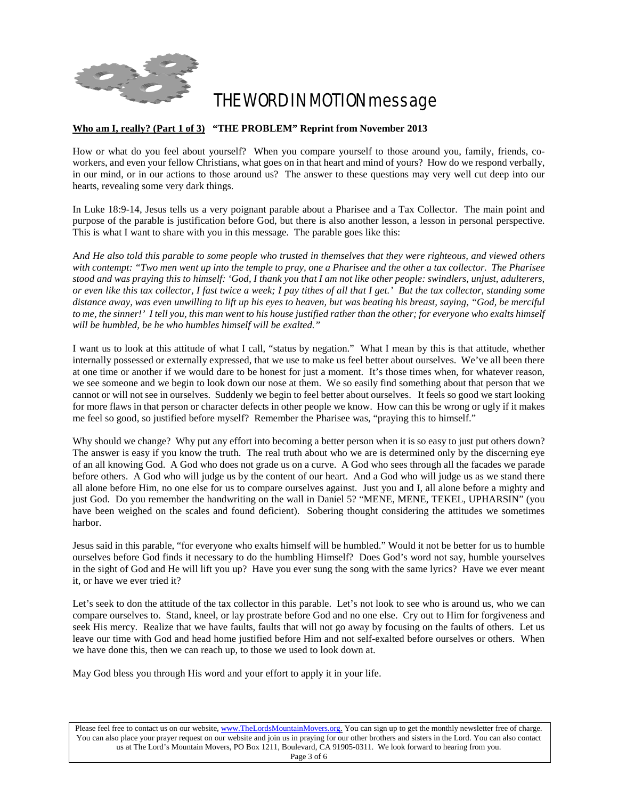

## THE WORD IN MOTION message

#### **Who am I, really? (Part 1 of 3) "THE PROBLEM" Reprint from November 2013**

How or what do you feel about yourself? When you compare yourself to those around you, family, friends, coworkers, and even your fellow Christians, what goes on in that heart and mind of yours? How do we respond verbally, in our mind, or in our actions to those around us? The answer to these questions may very well cut deep into our hearts, revealing some very dark things.

In Luke 18:9-14, Jesus tells us a very poignant parable about a Pharisee and a Tax Collector. The main point and purpose of the parable is justification before God, but there is also another lesson, a lesson in personal perspective. This is what I want to share with you in this message. The parable goes like this:

A*nd He also told this parable to some people who trusted in themselves that they were righteous, and viewed others with contempt: "Two men went up into the temple to pray, one a Pharisee and the other a tax collector. The Pharisee stood and was praying this to himself: 'God, I thank you that I am not like other people: swindlers, unjust, adulterers, or even like this tax collector, I fast twice a week; I pay tithes of all that I get.' But the tax collector, standing some distance away, was even unwilling to lift up his eyes to heaven, but was beating his breast, saying, "God, be merciful to me, the sinner!' I tell you, this man went to his house justified rather than the other; for everyone who exalts himself will be humbled, be he who humbles himself will be exalted."*

I want us to look at this attitude of what I call, "status by negation." What I mean by this is that attitude, whether internally possessed or externally expressed, that we use to make us feel better about ourselves. We've all been there at one time or another if we would dare to be honest for just a moment. It's those times when, for whatever reason, we see someone and we begin to look down our nose at them. We so easily find something about that person that we cannot or will not see in ourselves. Suddenly we begin to feel better about ourselves. It feels so good we start looking for more flaws in that person or character defects in other people we know. How can this be wrong or ugly if it makes me feel so good, so justified before myself? Remember the Pharisee was, "praying this to himself."

Why should we change? Why put any effort into becoming a better person when it is so easy to just put others down? The answer is easy if you know the truth. The real truth about who we are is determined only by the discerning eye of an all knowing God. A God who does not grade us on a curve. A God who sees through all the facades we parade before others. A God who will judge us by the content of our heart. And a God who will judge us as we stand there all alone before Him, no one else for us to compare ourselves against. Just you and I, all alone before a mighty and just God. Do you remember the handwriting on the wall in Daniel 5? "MENE, MENE, TEKEL, UPHARSIN" (you have been weighed on the scales and found deficient). Sobering thought considering the attitudes we sometimes harbor.

Jesus said in this parable, "for everyone who exalts himself will be humbled." Would it not be better for us to humble ourselves before God finds it necessary to do the humbling Himself? Does God's word not say, humble yourselves in the sight of God and He will lift you up? Have you ever sung the song with the same lyrics? Have we ever meant it, or have we ever tried it?

Let's seek to don the attitude of the tax collector in this parable. Let's not look to see who is around us, who we can compare ourselves to. Stand, kneel, or lay prostrate before God and no one else. Cry out to Him for forgiveness and seek His mercy. Realize that we have faults, faults that will not go away by focusing on the faults of others. Let us leave our time with God and head home justified before Him and not self-exalted before ourselves or others. When we have done this, then we can reach up, to those we used to look down at.

May God bless you through His word and your effort to apply it in your life.

Please feel free to contact us on our website, ww[w.TheLordsMountainMovers.o](http://www.thelordsmountainmovers.org/)rg. You can sign up to get the monthly newsletter free of charge. You can also place your prayer request on our website and join us in praying for our other brothers and sisters in the Lord. You can also contact us at The Lord's Mountain Movers, PO Box 1211, Boulevard, CA 91905-0311. We look forward to hearing from you.

Page 3 of 6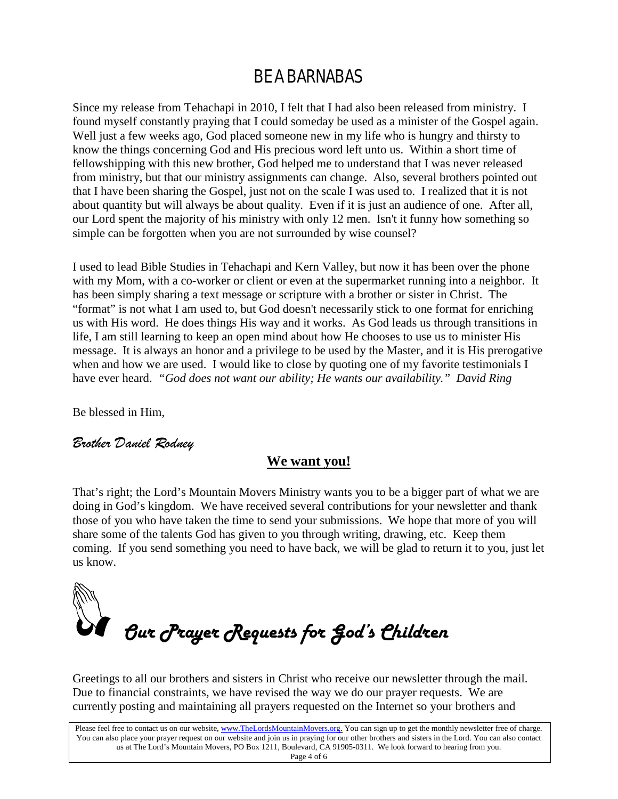### BE A BARNABAS

Since my release from Tehachapi in 2010, I felt that I had also been released from ministry. I found myself constantly praying that I could someday be used as a minister of the Gospel again. Well just a few weeks ago, God placed someone new in my life who is hungry and thirsty to know the things concerning God and His precious word left unto us. Within a short time of fellowshipping with this new brother, God helped me to understand that I was never released from ministry, but that our ministry assignments can change. Also, several brothers pointed out that I have been sharing the Gospel, just not on the scale I was used to. I realized that it is not about quantity but will always be about quality. Even if it is just an audience of one. After all, our Lord spent the majority of his ministry with only 12 men. Isn't it funny how something so simple can be forgotten when you are not surrounded by wise counsel?

I used to lead Bible Studies in Tehachapi and Kern Valley, but now it has been over the phone with my Mom, with a co-worker or client or even at the supermarket running into a neighbor. It has been simply sharing a text message or scripture with a brother or sister in Christ. The "format" is not what I am used to, but God doesn't necessarily stick to one format for enriching us with His word. He does things His way and it works. As God leads us through transitions in life, I am still learning to keep an open mind about how He chooses to use us to minister His message. It is always an honor and a privilege to be used by the Master, and it is His prerogative when and how we are used. I would like to close by quoting one of my favorite testimonials I have ever heard. *"God does not want our ability; He wants our availability." David Ring*

Be blessed in Him,

### *Brother Daniel Rodney*

### **We want you!**

That's right; the Lord's Mountain Movers Ministry wants you to be a bigger part of what we are doing in God's kingdom. We have received several contributions for your newsletter and thank those of you who have taken the time to send your submissions. We hope that more of you will share some of the talents God has given to you through writing, drawing, etc. Keep them coming. If you send something you need to have back, we will be glad to return it to you, just let us know.



Greetings to all our brothers and sisters in Christ who receive our newsletter through the mail. Due to financial constraints, we have revised the way we do our prayer requests. We are currently posting and maintaining all prayers requested on the Internet so your brothers and

Please feel free to contact us on our website, ww[w.TheLordsMountainMovers.o](http://www.thelordsmountainmovers.org/)rg. You can sign up to get the monthly newsletter free of charge. You can also place your prayer request on our website and join us in praying for our other brothers and sisters in the Lord. You can also contact us at The Lord's Mountain Movers, PO Box 1211, Boulevard, CA 91905-0311. We look forward to hearing from you.

Page 4 of 6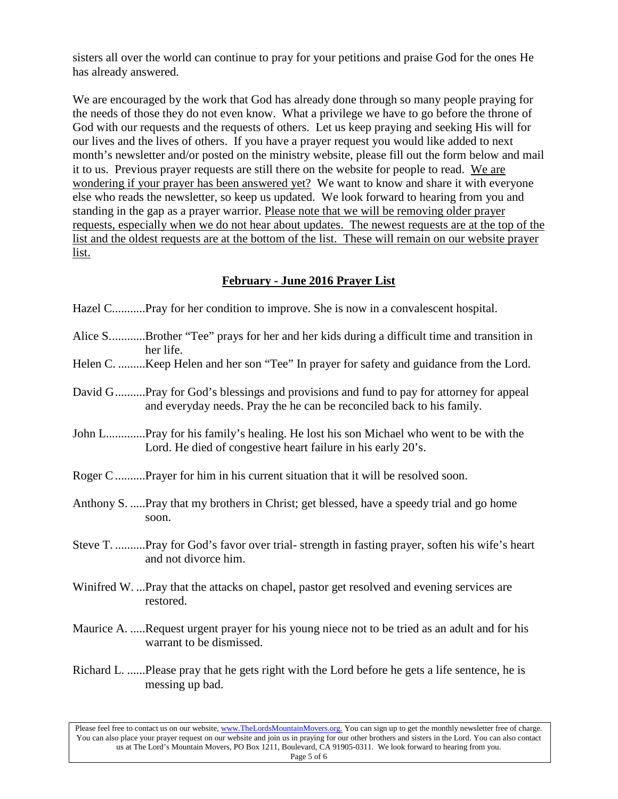sisters all over the world can continue to pray for your petitions and praise God for the ones He has already answered.

We are encouraged by the work that God has already done through so many people praying for the needs of those they do not even know. What a privilege we have to go before the throne of God with our requests and the requests of others. Let us keep praying and seeking His will for our lives and the lives of others. If you have a prayer request you would like added to next month's newsletter and/or posted on the ministry website, please fill out the form below and mail it to us. Previous prayer requests are still there on the website for people to read. We are wondering if your prayer has been answered yet? We want to know and share it with everyone else who reads the newsletter, so keep us updated. We look forward to hearing from you and standing in the gap as a prayer warrior. Please note that we will be removing older prayer requests, especially when we do not hear about updates. The newest requests are at the top of the list and the oldest requests are at the bottom of the list. These will remain on our website prayer list.

### **February - June 2016 Prayer List**

- Hazel C............Pray for her condition to improve. She is now in a convalescent hospital.
- Alice S............Brother "Tee" prays for her and her kids during a difficult time and transition in her life.
- Helen C. .........Keep Helen and her son "Tee" In prayer for safety and guidance from the Lord.
- David G..........Pray for God's blessings and provisions and fund to pay for attorney for appeal and everyday needs. Pray the he can be reconciled back to his family.
- John L.............Pray for his family's healing. He lost his son Michael who went to be with the Lord. He died of congestive heart failure in his early 20's.
- Roger C..........Prayer for him in his current situation that it will be resolved soon.
- Anthony S. .....Pray that my brothers in Christ; get blessed, have a speedy trial and go home soon.
- Steve T. ..........Pray for God's favor over trial- strength in fasting prayer, soften his wife's heart and not divorce him.
- Winifred W. ...Pray that the attacks on chapel, pastor get resolved and evening services are restored.
- Maurice A. .....Request urgent prayer for his young niece not to be tried as an adult and for his warrant to be dismissed.
- Richard L. ......Please pray that he gets right with the Lord before he gets a life sentence, he is messing up bad.

Please feel free to contact us on our website, ww[w.TheLordsMountainMovers.o](http://www.thelordsmountainmovers.org/)rg. You can sign up to get the monthly newsletter free of charge. You can also place your prayer request on our website and join us in praying for our other brothers and sisters in the Lord. You can also contact us at The Lord's Mountain Movers, PO Box 1211, Boulevard, CA 91905-0311. We look forward to hearing from you. Page 5 of 6